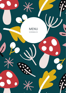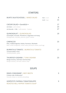## **STARTERS**

| BUNTE SALATSCHÜSSEL   MIXED SALAD                                                                                                            | Klein   small<br>Groß   large | 8<br>15        |
|----------------------------------------------------------------------------------------------------------------------------------------------|-------------------------------|----------------|
| <b>CAESAR SALAD . Sonnblick .</b><br>mit Huhn   with chicken<br>mit Garnele - 3 Stk.   with prawns - 3 pieces                                |                               | 17<br>23<br>27 |
| <b>QUINOASALAT   QUINOASALAD</b><br>Granatapfel, Avocado, Pinienkerne, Ziegenkäse mit Honig<br>Pomegranate, avocado, pinenuts, goat's cheese |                               | 19             |
| CARPACCIO<br>Rind, Trüffelvinaigrette, Rukola, Parmesan, Wachtelei<br>Beef, truffel vinaigrette, rocket salad, parmesan cheese, quail egg    |                               | 23             |
| <b>BURRATA &amp; TOMATE   BURRATA &amp; TOMATO</b><br>Tomatenvielfalt, Pesto<br>Tomatovariation, pesto                                       |                               | 17             |
| THUNFISCH SASHIMI   TUNA SASHIMI<br>Mango Chutney, Chili Aioli, Hummerchips<br>Mango chutney, chili aioli, lobster chips                     |                               | 23             |
| <b>SOUPS</b>                                                                                                                                 |                               |                |
| RINDS CONSOMMÉ   BEEF BROTH<br>Frittaten oder Grießnockerl<br>Pancake stripes or semolina dumplings                                          |                               | 9              |
| GERÖSTETE PAPRIKA-TOMATENSUPPE                                                                                                               |                               | 9              |

ROASTED BELL PEPPER-TOMATO SOUP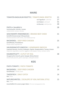## MAINS

| TOMATEN-BASILIKUM RISOTTO   TOMATO-BASIL RISOTTO                                                                                                                                                          |                            | 21 |
|-----------------------------------------------------------------------------------------------------------------------------------------------------------------------------------------------------------|----------------------------|----|
|                                                                                                                                                                                                           | mit Tagesfisch   with fish | 27 |
|                                                                                                                                                                                                           | mit Paillard   with beef   | 31 |
|                                                                                                                                                                                                           | mit Burrata   with burrata | 26 |
| <b>PASTA</b> • Sonnblick •<br>Hummerbutter, Garnele, Tomate<br>Lobsterbutter, prawn, tomato                                                                                                               |                            | 28 |
| <b>GESCHMORTE RINDERBACKE   BRAISED BEEF CHEEK</b><br>Kartoffel-Kräuterstampf, Ofenpastinake<br>Mashed potatoes with herbs, oven baked parsnip                                                            |                            | 31 |
| <b>BACKHENDL   DEEP FRIED CHICKEN</b><br>Kartoffelsalat, Preiselbeeren<br>Potato salad, lingonberries                                                                                                     |                            | 25 |
| HAUSGEMACHTE GNOCCHI   HOMEMADE GNOCCHI<br>Caponata Gemüse, Zucchini, Aubergine, Paprika, Stangensellerie, Tomate, Kräuter<br>Caponata vegetables, zucchini, eggplant, bell pepper, celery, tomato, herbs |                            | 25 |
| KALBSKOTELETT   CUTLET OF VEAL<br>Hausgemachte Gnocchi, grüner Spargel, Bärlauchbutter<br>Homemade gnocchi, green asparagus, wild garlic butter                                                           |                            | 38 |
| <b>KIDS</b>                                                                                                                                                                                               |                            |    |
| PASTA TOMATE   PASTA TOMATO                                                                                                                                                                               |                            | 12 |
| <b>BACKHENDL   DEEP FRIED CHICKEN</b><br>Kartoffelsalat   Potato salad                                                                                                                                    |                            | 14 |
| <b>TAGESFISCH   DAILY CATCH</b><br>Reis   Rice                                                                                                                                                            |                            | 14 |
| NATURSCHNITZEL   ESCALOPE OF VEAL NATURAL STYLE<br>Reis   Rice                                                                                                                                            |                            | 15 |
| Ausschließlich für unsere jungen Gäste   for our young guests only                                                                                                                                        |                            |    |